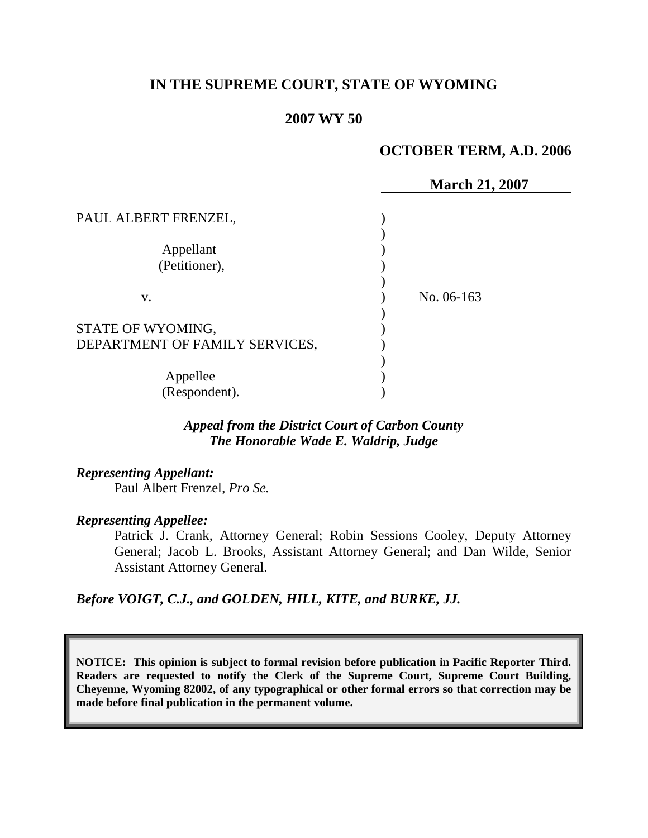# **IN THE SUPREME COURT, STATE OF WYOMING**

### **2007 WY 50**

### **OCTOBER TERM, A.D. 2006**

|                                |            | <b>March 21, 2007</b> |
|--------------------------------|------------|-----------------------|
| PAUL ALBERT FRENZEL,           |            |                       |
|                                |            |                       |
| Appellant                      |            |                       |
| (Petitioner),                  |            |                       |
|                                |            |                       |
| V.                             | No. 06-163 |                       |
|                                |            |                       |
| STATE OF WYOMING,              |            |                       |
| DEPARTMENT OF FAMILY SERVICES, |            |                       |
|                                |            |                       |
| Appellee                       |            |                       |
| (Respondent).                  |            |                       |

## *Appeal from the District Court of Carbon County The Honorable Wade E. Waldrip, Judge*

*Representing Appellant:*

Paul Albert Frenzel, *Pro Se.*

#### *Representing Appellee:*

Patrick J. Crank, Attorney General; Robin Sessions Cooley, Deputy Attorney General; Jacob L. Brooks, Assistant Attorney General; and Dan Wilde, Senior Assistant Attorney General.

*Before VOIGT, C.J., and GOLDEN, HILL, KITE, and BURKE, JJ.*

**NOTICE: This opinion is subject to formal revision before publication in Pacific Reporter Third. Readers are requested to notify the Clerk of the Supreme Court, Supreme Court Building, Cheyenne, Wyoming 82002, of any typographical or other formal errors so that correction may be made before final publication in the permanent volume.**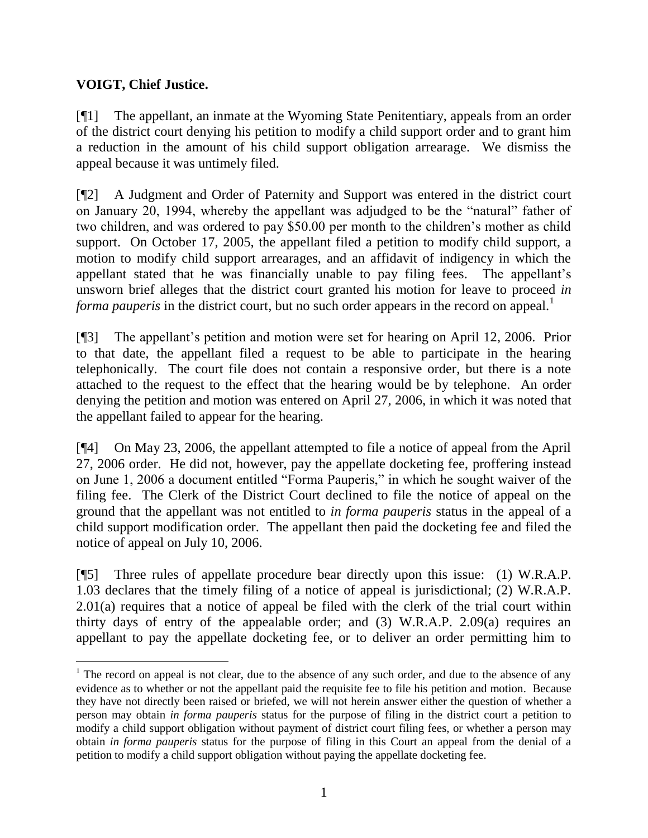# **VOIGT, Chief Justice.**

 $\overline{a}$ 

[¶1] The appellant, an inmate at the Wyoming State Penitentiary, appeals from an order of the district court denying his petition to modify a child support order and to grant him a reduction in the amount of his child support obligation arrearage. We dismiss the appeal because it was untimely filed.

[¶2] A Judgment and Order of Paternity and Support was entered in the district court on January 20, 1994, whereby the appellant was adjudged to be the "natural" father of two children, and was ordered to pay \$50.00 per month to the children's mother as child support. On October 17, 2005, the appellant filed a petition to modify child support, a motion to modify child support arrearages, and an affidavit of indigency in which the appellant stated that he was financially unable to pay filing fees. The appellant's unsworn brief alleges that the district court granted his motion for leave to proceed *in forma pauperis* in the district court, but no such order appears in the record on appeal.<sup>1</sup>

[¶3] The appellant's petition and motion were set for hearing on April 12, 2006. Prior to that date, the appellant filed a request to be able to participate in the hearing telephonically. The court file does not contain a responsive order, but there is a note attached to the request to the effect that the hearing would be by telephone. An order denying the petition and motion was entered on April 27, 2006, in which it was noted that the appellant failed to appear for the hearing.

[¶4] On May 23, 2006, the appellant attempted to file a notice of appeal from the April 27, 2006 order. He did not, however, pay the appellate docketing fee, proffering instead on June 1, 2006 a document entitled "Forma Pauperis," in which he sought waiver of the filing fee. The Clerk of the District Court declined to file the notice of appeal on the ground that the appellant was not entitled to *in forma pauperis* status in the appeal of a child support modification order. The appellant then paid the docketing fee and filed the notice of appeal on July 10, 2006.

[¶5] Three rules of appellate procedure bear directly upon this issue: (1) W.R.A.P. 1.03 declares that the timely filing of a notice of appeal is jurisdictional; (2) W.R.A.P. 2.01(a) requires that a notice of appeal be filed with the clerk of the trial court within thirty days of entry of the appealable order; and (3) W.R.A.P. 2.09(a) requires an appellant to pay the appellate docketing fee, or to deliver an order permitting him to

 $1$  The record on appeal is not clear, due to the absence of any such order, and due to the absence of any evidence as to whether or not the appellant paid the requisite fee to file his petition and motion. Because they have not directly been raised or briefed, we will not herein answer either the question of whether a person may obtain *in forma pauperis* status for the purpose of filing in the district court a petition to modify a child support obligation without payment of district court filing fees, or whether a person may obtain *in forma pauperis* status for the purpose of filing in this Court an appeal from the denial of a petition to modify a child support obligation without paying the appellate docketing fee.